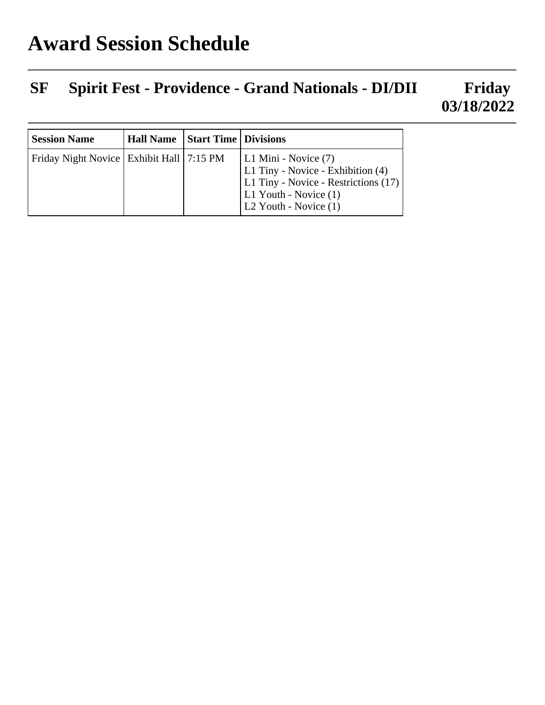## **SF Spirit Fest - Providence - Grand Nationals - DI/DII Friday 03/18/2022**

| <b>Session Name</b>                          | Hall Name   Start Time   Divisions |                                                                                                                                                     |
|----------------------------------------------|------------------------------------|-----------------------------------------------------------------------------------------------------------------------------------------------------|
| Friday Night Novice   Exhibit Hall   7:15 PM |                                    | L1 Mini - Novice (7)<br>L1 Tiny - Novice - Exhibition (4)<br>L1 Tiny - Novice - Restrictions (17)<br>L1 Youth - Novice (1)<br>L2 Youth - Novice (1) |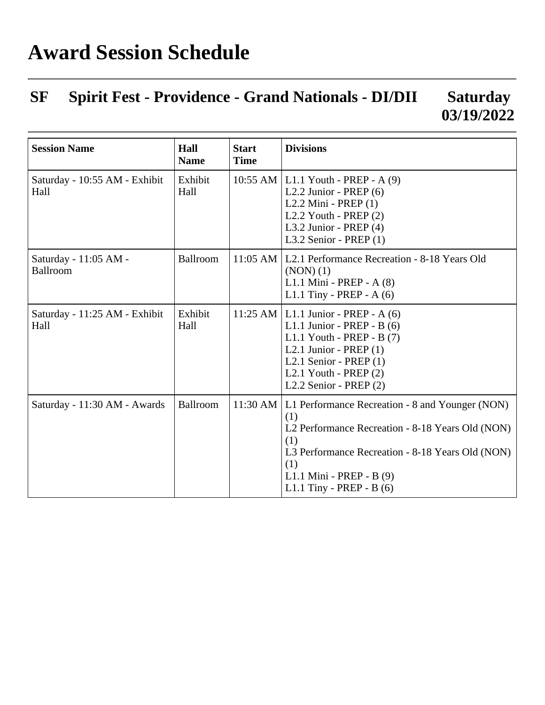## **SF Spirit Fest - Providence - Grand Nationals - DI/DII Saturday 03/19/2022**

| <b>Session Name</b>                   | Hall<br><b>Name</b> | <b>Start</b><br><b>Time</b> | <b>Divisions</b>                                                                                                                                                                                                                                  |
|---------------------------------------|---------------------|-----------------------------|---------------------------------------------------------------------------------------------------------------------------------------------------------------------------------------------------------------------------------------------------|
| Saturday - 10:55 AM - Exhibit<br>Hall | Exhibit<br>Hall     |                             | 10:55 AM   L1.1 Youth - PREP - A (9)<br>L2.2 Junior - PREP $(6)$<br>L <sub>2.2</sub> Mini - PREP $(1)$<br>L2.2 Youth - PREP $(2)$<br>L3.2 Junior - PREP $(4)$<br>L3.2 Senior - PREP $(1)$                                                         |
| Saturday - 11:05 AM -<br>Ballroom     | Ballroom            |                             | 11:05 AM   L2.1 Performance Recreation - 8-18 Years Old<br>$(NON)$ $(1)$<br>L1.1 Mini - PREP - A (8)<br>L1.1 Tiny - PREP - $A(6)$                                                                                                                 |
| Saturday - 11:25 AM - Exhibit<br>Hall | Exhibit<br>Hall     |                             | 11:25 AM   L1.1 Junior - PREP - A $(6)$<br>L1.1 Junior - PREP - B $(6)$<br>L1.1 Youth - PREP - B $(7)$<br>L2.1 Junior - PREP $(1)$<br>L2.1 Senior - PREP $(1)$<br>L2.1 Youth - PREP $(2)$<br>L <sub>2.2</sub> Senior - PREP $(2)$                 |
| Saturday - 11:30 AM - Awards          | Ballroom            |                             | 11:30 AM   L1 Performance Recreation - 8 and Younger (NON)<br>(1)<br>L2 Performance Recreation - 8-18 Years Old (NON)<br>(1)<br>L3 Performance Recreation - 8-18 Years Old (NON)<br>(1)<br>L1.1 Mini - PREP - B (9)<br>L1.1 Tiny - PREP - B $(6)$ |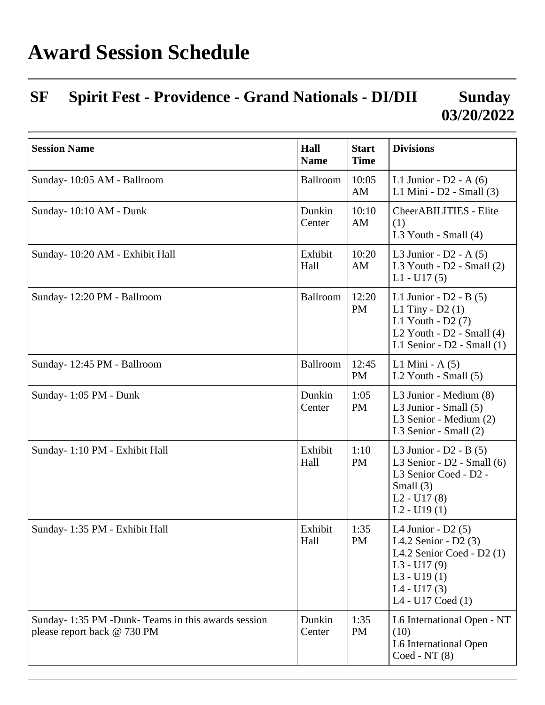## **Award Session Schedule**

## **SF Spirit Fest - Providence - Grand Nationals - DI/DII Sunday 03/20/2022**

| <b>Session Name</b>                                                              | Hall<br><b>Name</b> | <b>Start</b><br><b>Time</b> | <b>Divisions</b>                                                                                                                                  |
|----------------------------------------------------------------------------------|---------------------|-----------------------------|---------------------------------------------------------------------------------------------------------------------------------------------------|
| Sunday-10:05 AM - Ballroom                                                       | <b>Ballroom</b>     | 10:05<br>AM                 | L1 Junior - $D2 - A(6)$<br>L1 Mini - D2 - Small (3)                                                                                               |
| Sunday-10:10 AM - Dunk                                                           | Dunkin<br>Center    | 10:10<br>AM                 | CheerABILITIES - Elite<br>(1)<br>L3 Youth - Small (4)                                                                                             |
| Sunday- 10:20 AM - Exhibit Hall                                                  | Exhibit<br>Hall     | 10:20<br>AM                 | L3 Junior - $D2 - A(5)$<br>L3 Youth - $D2$ - Small $(2)$<br>$L1 - U17(5)$                                                                         |
| Sunday-12:20 PM - Ballroom                                                       | Ballroom            | 12:20<br><b>PM</b>          | L1 Junior - $D2 - B(5)$<br>L1 Tiny - $D2(1)$<br>L1 Youth - $D2(7)$<br>L2 Youth - $D2$ - Small (4)<br>L1 Senior - $D2$ - Small $(1)$               |
| Sunday-12:45 PM - Ballroom                                                       | Ballroom            | 12:45<br><b>PM</b>          | L1 Mini - $A(5)$<br>L2 Youth - Small $(5)$                                                                                                        |
| Sunday-1:05 PM - Dunk                                                            | Dunkin<br>Center    | 1:05<br><b>PM</b>           | L3 Junior - Medium (8)<br>L3 Junior - Small (5)<br>L3 Senior - Medium (2)<br>L3 Senior - Small (2)                                                |
| Sunday- 1:10 PM - Exhibit Hall                                                   | Exhibit<br>Hall     | 1:10<br>PM                  | L3 Junior - $D2 - B(5)$<br>L3 Senior - $D2$ - Small (6)<br>L3 Senior Coed - D2 -<br>Small $(3)$<br>$L2 - U17(8)$<br>$L2 - U19(1)$                 |
| Sunday- 1:35 PM - Exhibit Hall                                                   | Exhibit<br>Hall     | 1:35<br><b>PM</b>           | L4 Junior - $D2(5)$<br>L4.2 Senior - $D2(3)$<br>L4.2 Senior Coed - D2 (1)<br>$L3 - U17(9)$<br>$L3 - U19(1)$<br>$L4 - U17(3)$<br>L4 - U17 Coed (1) |
| Sunday-1:35 PM -Dunk-Teams in this awards session<br>please report back @ 730 PM | Dunkin<br>Center    | 1:35<br>PM                  | L6 International Open - NT<br>(10)<br>L6 International Open<br>$Coded - NT(8)$                                                                    |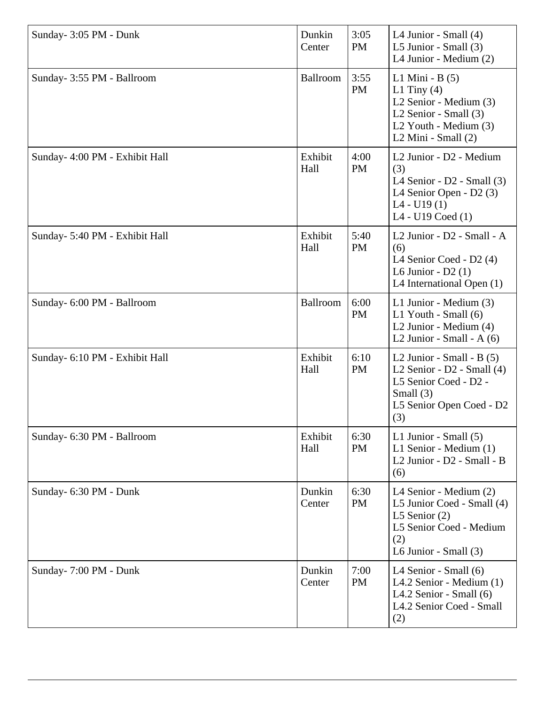| Sunday- 3:05 PM - Dunk         | Dunkin<br>Center | 3:05<br><b>PM</b> | L4 Junior - Small (4)<br>L5 Junior - Small (3)<br>L4 Junior - Medium (2)                                                                             |
|--------------------------------|------------------|-------------------|------------------------------------------------------------------------------------------------------------------------------------------------------|
| Sunday- 3:55 PM - Ballroom     | <b>Ballroom</b>  | 3:55<br><b>PM</b> | L1 Mini - $B(5)$<br>L1 Tiny $(4)$<br>L2 Senior - Medium (3)<br>L <sub>2</sub> Senior - Small (3)<br>L2 Youth - Medium (3)<br>$L2$ Mini - Small $(2)$ |
| Sunday- 4:00 PM - Exhibit Hall | Exhibit<br>Hall  | 4:00<br><b>PM</b> | L2 Junior - D2 - Medium<br>(3)<br>L4 Senior - $D2$ - Small $(3)$<br>L4 Senior Open - D2 (3)<br>$L4 - U19(1)$<br>L4 - U19 Coed (1)                    |
| Sunday- 5:40 PM - Exhibit Hall | Exhibit<br>Hall  | 5:40<br>PM        | L <sub>2</sub> Junior - D <sub>2</sub> - Small - A<br>(6)<br>L4 Senior Coed - D2 (4)<br>L6 Junior - $D2(1)$<br>L4 International Open (1)             |
| Sunday- 6:00 PM - Ballroom     | Ballroom         | 6:00<br><b>PM</b> | L1 Junior - Medium (3)<br>L1 Youth - Small (6)<br>L <sub>2</sub> Junior - Medium (4)<br>L2 Junior - Small - $A(6)$                                   |
| Sunday- 6:10 PM - Exhibit Hall | Exhibit<br>Hall  | 6:10<br><b>PM</b> | L2 Junior - Small - B $(5)$<br>L2 Senior - $D2$ - Small $(4)$<br>L5 Senior Coed - D2 -<br>Small $(3)$<br>L5 Senior Open Coed - D2<br>(3)             |
| Sunday- 6:30 PM - Ballroom     | Exhibit<br>Hall  | 6:30<br><b>PM</b> | L1 Junior - Small $(5)$<br>L1 Senior - Medium (1)<br>L <sub>2</sub> Junior - D <sub>2</sub> - Small - B<br>(6)                                       |
| Sunday- 6:30 PM - Dunk         | Dunkin<br>Center | 6:30<br>PM        | L4 Senior - Medium (2)<br>L5 Junior Coed - Small (4)<br>L5 Senior $(2)$<br>L5 Senior Coed - Medium<br>(2)<br>L6 Junior - Small $(3)$                 |
| Sunday-7:00 PM - Dunk          | Dunkin<br>Center | 7:00<br><b>PM</b> | L4 Senior - Small (6)<br>L4.2 Senior - Medium (1)<br>L4.2 Senior - Small $(6)$<br>L4.2 Senior Coed - Small<br>(2)                                    |